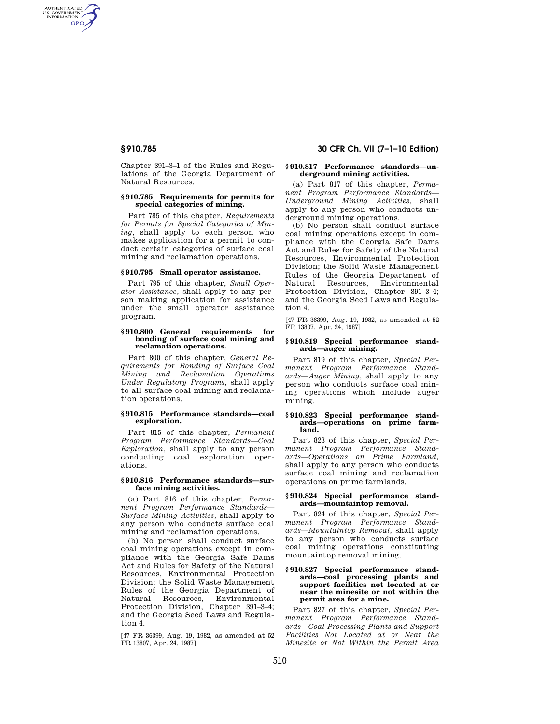AUTHENTICATED<br>U.S. GOVERNMENT<br>INFORMATION **GPO** 

> Chapter 391–3–1 of the Rules and Regulations of the Georgia Department of Natural Resources.

## **§ 910.785 Requirements for permits for special categories of mining.**

Part 785 of this chapter, *Requirements for Permits for Special Categories of Mining,* shall apply to each person who makes application for a permit to conduct certain categories of surface coal mining and reclamation operations.

## **§ 910.795 Small operator assistance.**

Part 795 of this chapter, *Small Operator Assistance,* shall apply to any person making application for assistance under the small operator assistance program.

## **§ 910.800 General requirements for bonding of surface coal mining and reclamation operations.**

Part 800 of this chapter, *General Requirements for Bonding of Surface Coal Mining and Reclamation Operations Under Regulatory Programs,* shall apply to all surface coal mining and reclamation operations.

## **§ 910.815 Performance standards—coal exploration.**

Part 815 of this chapter, *Permanent Program Performance Standards—Coal Exploration,* shall apply to any person conducting coal exploration operations.

### **§ 910.816 Performance standards—surface mining activities.**

(a) Part 816 of this chapter, *Permanent Program Performance Standards— Surface Mining Activities,* shall apply to any person who conducts surface coal mining and reclamation operations.

(b) No person shall conduct surface coal mining operations except in compliance with the Georgia Safe Dams Act and Rules for Safety of the Natural Resources, Environmental Protection Division; the Solid Waste Management Rules of the Georgia Department of Natural Resources, Environmental Protection Division, Chapter 391–3–4; and the Georgia Seed Laws and Regulation 4.

[47 FR 36399, Aug. 19, 1982, as amended at 52 FR 13807, Apr. 24, 1987]

# **§ 910.785 30 CFR Ch. VII (7–1–10 Edition)**

## **§ 910.817 Performance standards—underground mining activities.**

(a) Part 817 of this chapter, *Permanent Program Performance Standards— Underground Mining Activities,* shall apply to any person who conducts underground mining operations.

(b) No person shall conduct surface coal mining operations except in compliance with the Georgia Safe Dams Act and Rules for Safety of the Natural Resources, Environmental Protection Division; the Solid Waste Management Rules of the Georgia Department of Natural Resources, Environmental Protection Division, Chapter 391–3–4; and the Georgia Seed Laws and Regulation 4.

[47 FR 36399, Aug. 19, 1982, as amended at 52 FR 13807, Apr. 24, 1987]

## **§ 910.819 Special performance standards—auger mining.**

Part 819 of this chapter, *Special Permanent Program Performance Standards—Auger Mining,* shall apply to any person who conducts surface coal mining operations which include auger mining.

### **§ 910.823 Special performance standards—operations on prime farmland.**

Part 823 of this chapter, *Special Permanent Program Performance Standards—Operations on Prime Farmland,*  shall apply to any person who conducts surface coal mining and reclamation operations on prime farmlands.

## **§ 910.824 Special performance standards—mountaintop removal.**

Part 824 of this chapter, *Special Permanent Program Performance Standards—Mountaintop Removal,* shall apply to any person who conducts surface coal mining operations constituting mountaintop removal mining.

#### **§ 910.827 Special performance standards—coal processing plants and support facilities not located at or near the minesite or not within the permit area for a mine.**

Part 827 of this chapter, *Special Permanent Program Performance Standards—Coal Processing Plants and Support Facilities Not Located at or Near the Minesite or Not Within the Permit Area*